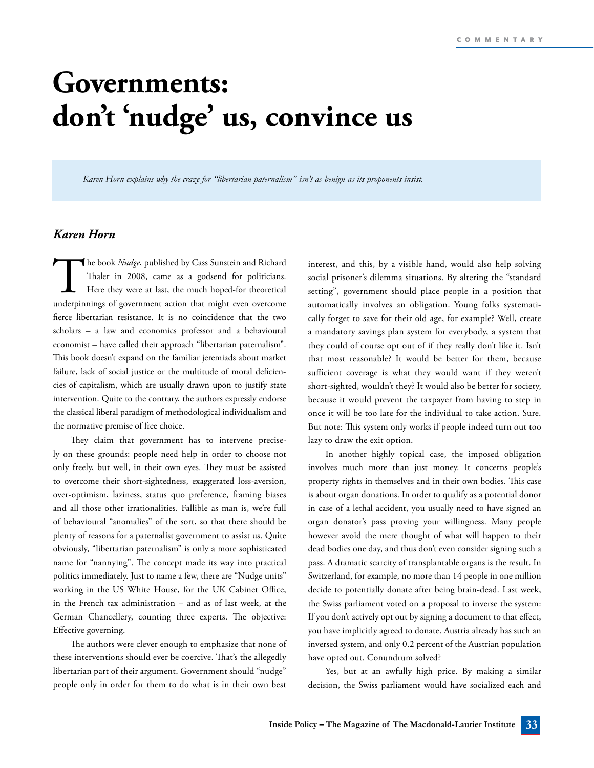## **Governments: don't 'nudge' us, convince us**

*Karen Horn explains why the craze for "libertarian paternalism" isn't as benign as its proponents insist.*

## *Karen Horn*

The book *Nudge*, published by Cass Sunstein and Richard<br>Thaler in 2008, came as a godsend for politicians.<br>Here they were at last, the much hoped-for theoretical<br>underpinnings of government action that might even overcome Thaler in 2008, came as a godsend for politicians. Here they were at last, the much hoped-for theoretical underpinnings of government action that might even overcome fierce libertarian resistance. It is no coincidence that the two scholars – a law and economics professor and a behavioural economist – have called their approach "libertarian paternalism". This book doesn't expand on the familiar jeremiads about market failure, lack of social justice or the multitude of moral deficiencies of capitalism, which are usually drawn upon to justify state intervention. Quite to the contrary, the authors expressly endorse the classical liberal paradigm of methodological individualism and the normative premise of free choice.

They claim that government has to intervene precisely on these grounds: people need help in order to choose not only freely, but well, in their own eyes. They must be assisted to overcome their short-sightedness, exaggerated loss-aversion, over-optimism, laziness, status quo preference, framing biases and all those other irrationalities. Fallible as man is, we're full of behavioural "anomalies" of the sort, so that there should be plenty of reasons for a paternalist government to assist us. Quite obviously, "libertarian paternalism" is only a more sophisticated name for "nannying". The concept made its way into practical politics immediately. Just to name a few, there are "Nudge units" working in the US White House, for the UK Cabinet Office, in the French tax administration – and as of last week, at the German Chancellery, counting three experts. The objective: Effective governing.

The authors were clever enough to emphasize that none of these interventions should ever be coercive. That's the allegedly libertarian part of their argument. Government should "nudge" people only in order for them to do what is in their own best

interest, and this, by a visible hand, would also help solving social prisoner's dilemma situations. By altering the "standard setting", government should place people in a position that automatically involves an obligation. Young folks systematically forget to save for their old age, for example? Well, create a mandatory savings plan system for everybody, a system that they could of course opt out of if they really don't like it. Isn't that most reasonable? It would be better for them, because sufficient coverage is what they would want if they weren't short-sighted, wouldn't they? It would also be better for society, because it would prevent the taxpayer from having to step in once it will be too late for the individual to take action. Sure. But note: This system only works if people indeed turn out too lazy to draw the exit option.

In another highly topical case, the imposed obligation involves much more than just money. It concerns people's property rights in themselves and in their own bodies. This case is about organ donations. In order to qualify as a potential donor in case of a lethal accident, you usually need to have signed an organ donator's pass proving your willingness. Many people however avoid the mere thought of what will happen to their dead bodies one day, and thus don't even consider signing such a pass. A dramatic scarcity of transplantable organs is the result. In Switzerland, for example, no more than 14 people in one million decide to potentially donate after being brain-dead. Last week, the Swiss parliament voted on a proposal to inverse the system: If you don't actively opt out by signing a document to that effect, you have implicitly agreed to donate. Austria already has such an inversed system, and only 0.2 percent of the Austrian population have opted out. Conundrum solved?

Yes, but at an awfully high price. By making a similar decision, the Swiss parliament would have socialized each and